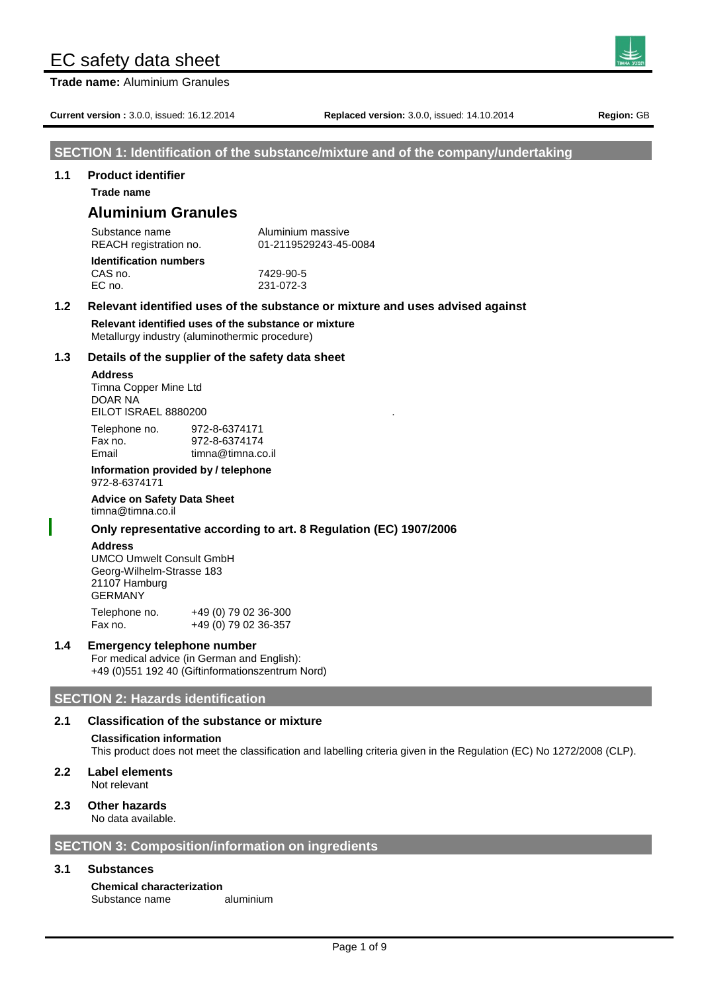**Trade name:** Aluminium Granules

**Current version :** 3.0.0, issued: 16.12.2014 **Replaced version:** 3.0.0, issued: 14.10.2014 **Region:** GB

### **SECTION 1: Identification of the substance/mixture and of the company/undertaking**

#### **1.1 Product identifier**

**Trade name**

# **Aluminium Granules**

| Substance name                | Aluminium massive     |
|-------------------------------|-----------------------|
| REACH registration no.        | 01-2119529243-45-0084 |
| <b>Identification numbers</b> |                       |
| CAS no.                       | 7429-90-5             |
| EC no.                        | 231-072-3             |

# **1.2 Relevant identified uses of the substance or mixture and uses advised against**

**Relevant identified uses of the substance or mixture** Metallurgy industry (aluminothermic procedure)

#### **1.3 Details of the supplier of the safety data sheet**

#### **Address**

Timna Copper Mine Ltd DOAR NA EILOT ISRAEL 8880200

| Telephone no. | 972-8-6374171     |
|---------------|-------------------|
| Fax no.       | 972-8-6374174     |
| Email         | timna@timna.co.il |

#### **Information provided by / telephone** 972-8-6374171

**Advice on Safety Data Sheet** timna@timna.co.il

#### **Only representative according to art. 8 Regulation (EC) 1907/2006**

#### **Address**

UMCO Umwelt Consult GmbH Georg-Wilhelm-Strasse 183 21107 Hamburg GERMANY

Telephone no. +49 (0) 79 02 36-300 Fax no. +49 (0) 79 02 36-357

#### **1.4 Emergency telephone number**

For medical advice (in German and English): +49 (0)551 192 40 (Giftinformationszentrum Nord)

# **SECTION 2: Hazards identification**

# **2.1 Classification of the substance or mixture**

#### **Classification information**

This product does not meet the classification and labelling criteria given in the Regulation (EC) No 1272/2008 (CLP).

# **2.2 Label elements**

Not relevant

#### **2.3 Other hazards** No data available.

**SECTION 3: Composition/information on ingredients**

# **3.1 Substances**

**Chemical characterization** Substance name aluminium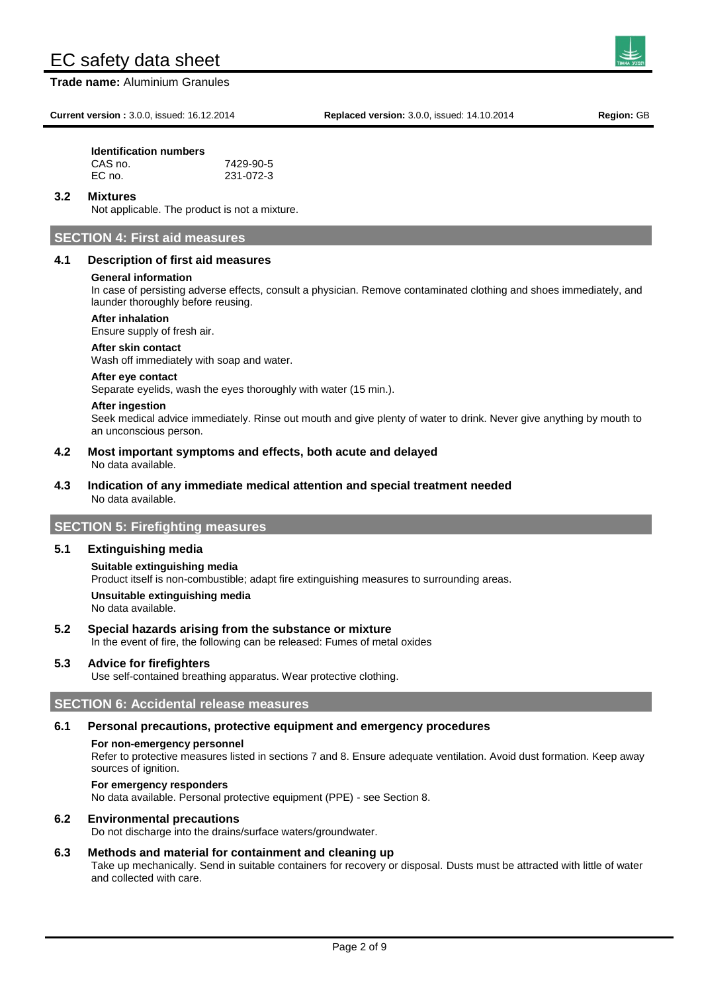**Trade name:** Aluminium Granules

**Current version :** 3.0.0, issued: 16.12.2014 **Replaced version:** 3.0.0, issued: 14.10.2014 **Region:** GB

### **Identification numbers**

| CAS no. | 7429-90-5 |
|---------|-----------|
| EC no.  | 231-072-3 |

#### **3.2 Mixtures**

Not applicable. The product is not a mixture.

# **SECTION 4: First aid measures**

#### **4.1 Description of first aid measures**

#### **General information**

In case of persisting adverse effects, consult a physician. Remove contaminated clothing and shoes immediately, and launder thoroughly before reusing.

#### **After inhalation**

Ensure supply of fresh air.

#### **After skin contact**

Wash off immediately with soap and water.

#### **After eye contact**

Separate eyelids, wash the eyes thoroughly with water (15 min.).

#### **After ingestion**

Seek medical advice immediately. Rinse out mouth and give plenty of water to drink. Never give anything by mouth to an unconscious person.

#### **4.2 Most important symptoms and effects, both acute and delayed** No data available.

#### **4.3 Indication of any immediate medical attention and special treatment needed** No data available.

# **SECTION 5: Firefighting measures**

#### **5.1 Extinguishing media**

# **Suitable extinguishing media** Product itself is non-combustible; adapt fire extinguishing measures to surrounding areas. **Unsuitable extinguishing media** No data available.

# **5.2 Special hazards arising from the substance or mixture**

In the event of fire, the following can be released: Fumes of metal oxides

# **5.3 Advice for firefighters**

Use self-contained breathing apparatus. Wear protective clothing.

# **SECTION 6: Accidental release measures**

# **6.1 Personal precautions, protective equipment and emergency procedures**

# **For non-emergency personnel**

Refer to protective measures listed in sections 7 and 8. Ensure adequate ventilation. Avoid dust formation. Keep away sources of ignition.

# **For emergency responders**

No data available. Personal protective equipment (PPE) - see Section 8.

# **6.2 Environmental precautions**

Do not discharge into the drains/surface waters/groundwater.

# **6.3 Methods and material for containment and cleaning up**

Take up mechanically. Send in suitable containers for recovery or disposal. Dusts must be attracted with little of water and collected with care.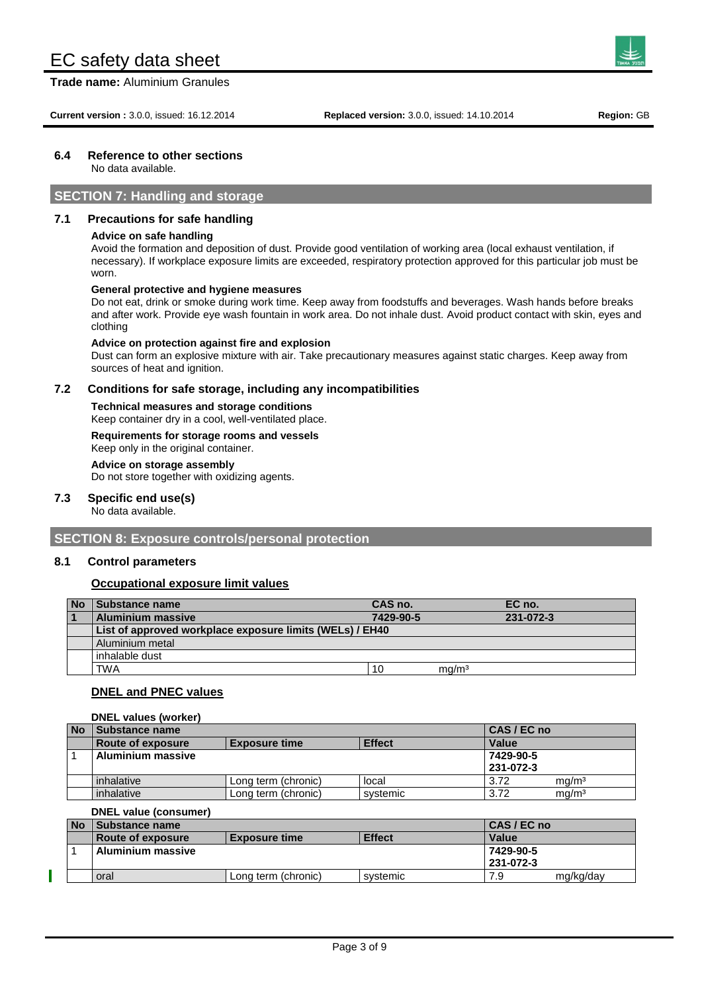**Trade name:** Aluminium Granules

# **6.4 Reference to other sections**

No data available.

# **SECTION 7: Handling and storage**

# **7.1 Precautions for safe handling**

#### **Advice on safe handling**

Avoid the formation and deposition of dust. Provide good ventilation of working area (local exhaust ventilation, if necessary). If workplace exposure limits are exceeded, respiratory protection approved for this particular job must be worn.

#### **General protective and hygiene measures**

Do not eat, drink or smoke during work time. Keep away from foodstuffs and beverages. Wash hands before breaks and after work. Provide eye wash fountain in work area. Do not inhale dust. Avoid product contact with skin, eyes and clothing

#### **Advice on protection against fire and explosion**

Dust can form an explosive mixture with air. Take precautionary measures against static charges. Keep away from sources of heat and ignition.

# **7.2 Conditions for safe storage, including any incompatibilities**

**Technical measures and storage conditions** Keep container dry in a cool, well-ventilated place.

# **Requirements for storage rooms and vessels**

Keep only in the original container.

# **Advice on storage assembly**

Do not store together with oxidizing agents.

# **7.3 Specific end use(s)**

No data available.

# **SECTION 8: Exposure controls/personal protection**

# **8.1 Control parameters**

# **Occupational exposure limit values**

| <b>No</b> | Substance name                                           | CAS no.   |                   | EC no.    |  |
|-----------|----------------------------------------------------------|-----------|-------------------|-----------|--|
|           | <b>Aluminium massive</b>                                 | 7429-90-5 |                   | 231-072-3 |  |
|           | List of approved workplace exposure limits (WELs) / EH40 |           |                   |           |  |
|           | Aluminium metal                                          |           |                   |           |  |
|           | inhalable dust                                           |           |                   |           |  |
|           | TWA                                                      | 10        | mg/m <sup>3</sup> |           |  |

# **DNEL and PNEC values**

#### **DNEL values (worker)**

| <b>No</b> | Substance name                                                    |                     |          | CAS / EC no |                   |
|-----------|-------------------------------------------------------------------|---------------------|----------|-------------|-------------------|
|           | <b>Effect</b><br><b>Route of exposure</b><br><b>Exposure time</b> |                     | Value    |             |                   |
|           | Aluminium massive                                                 |                     |          | 7429-90-5   |                   |
|           |                                                                   |                     |          | 231-072-3   |                   |
|           | inhalative                                                        | Long term (chronic) | local    | 3.72        | mq/m <sup>3</sup> |
|           | inhalative                                                        | Long term (chronic) | systemic | 3.72        | mq/m <sup>3</sup> |

#### **DNEL value (consumer)**

| <b>No</b><br>⊿ Substance name |                     | CAS / EC no   |                        |           |
|-------------------------------|---------------------|---------------|------------------------|-----------|
| Route of exposure             | l Exposure time     | <b>Effect</b> | Value                  |           |
| <b>Aluminium massive</b>      |                     |               | 7429-90-5<br>231-072-3 |           |
| oral                          | Long term (chronic) | systemic      | 7.9                    | mg/kg/day |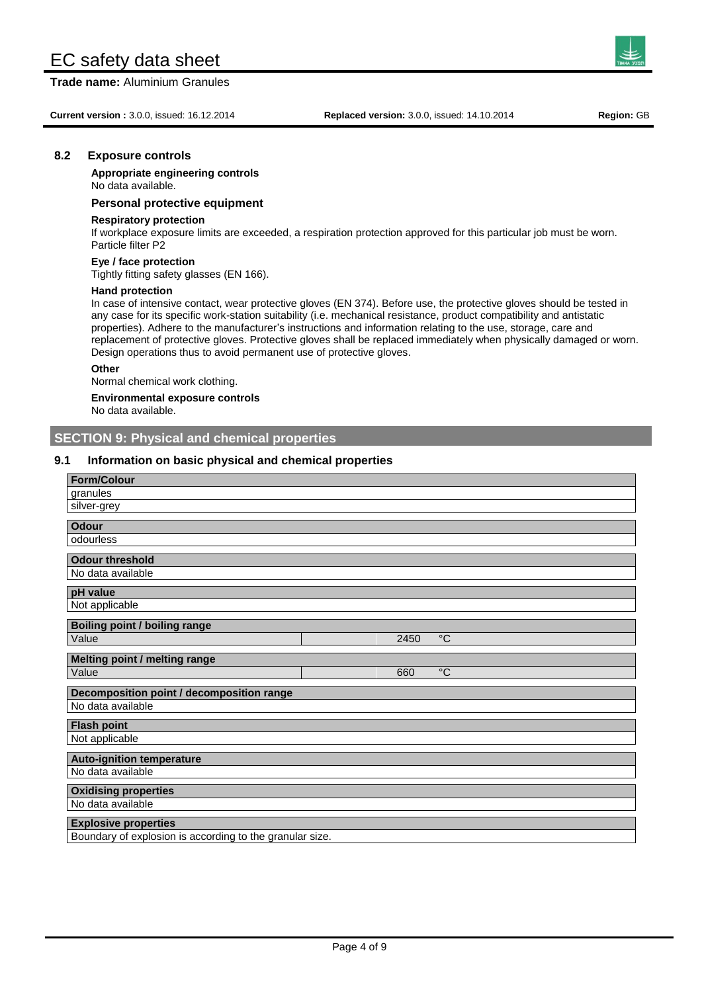**Trade name:** Aluminium Granules

**Current version :** 3.0.0, issued: 16.12.2014 **Replaced version:** 3.0.0, issued: 14.10.2014 **Region:** GB

### **8.2 Exposure controls**

**Appropriate engineering controls** No data available.

### **Personal protective equipment**

#### **Respiratory protection**

If workplace exposure limits are exceeded, a respiration protection approved for this particular job must be worn. Particle filter P2

#### **Eye / face protection**

Tightly fitting safety glasses (EN 166).

#### **Hand protection**

In case of intensive contact, wear protective gloves (EN 374). Before use, the protective gloves should be tested in any case for its specific work-station suitability (i.e. mechanical resistance, product compatibility and antistatic properties). Adhere to the manufacturer's instructions and information relating to the use, storage, care and replacement of protective gloves. Protective gloves shall be replaced immediately when physically damaged or worn. Design operations thus to avoid permanent use of protective gloves.

#### **Other**

Normal chemical work clothing.

# **Environmental exposure controls**

No data available.

# **SECTION 9: Physical and chemical properties**

#### **9.1 Information on basic physical and chemical properties**

| <b>Form/Colour</b>                                       |
|----------------------------------------------------------|
| granules                                                 |
| silver-grey                                              |
|                                                          |
| <b>Odour</b>                                             |
| odourless                                                |
| <b>Odour threshold</b>                                   |
| No data available                                        |
|                                                          |
| pH value                                                 |
| Not applicable                                           |
| Boiling point / boiling range                            |
| Value<br>$^{\circ}C$<br>2450                             |
|                                                          |
| Melting point / melting range                            |
| $\overline{C}$<br>Value<br>660                           |
| Decomposition point / decomposition range                |
| No data available                                        |
|                                                          |
| <b>Flash point</b>                                       |
| Not applicable                                           |
| <b>Auto-ignition temperature</b>                         |
| No data available                                        |
|                                                          |
| <b>Oxidising properties</b><br>No data available         |
|                                                          |
| <b>Explosive properties</b>                              |
| Boundary of explosion is according to the granular size. |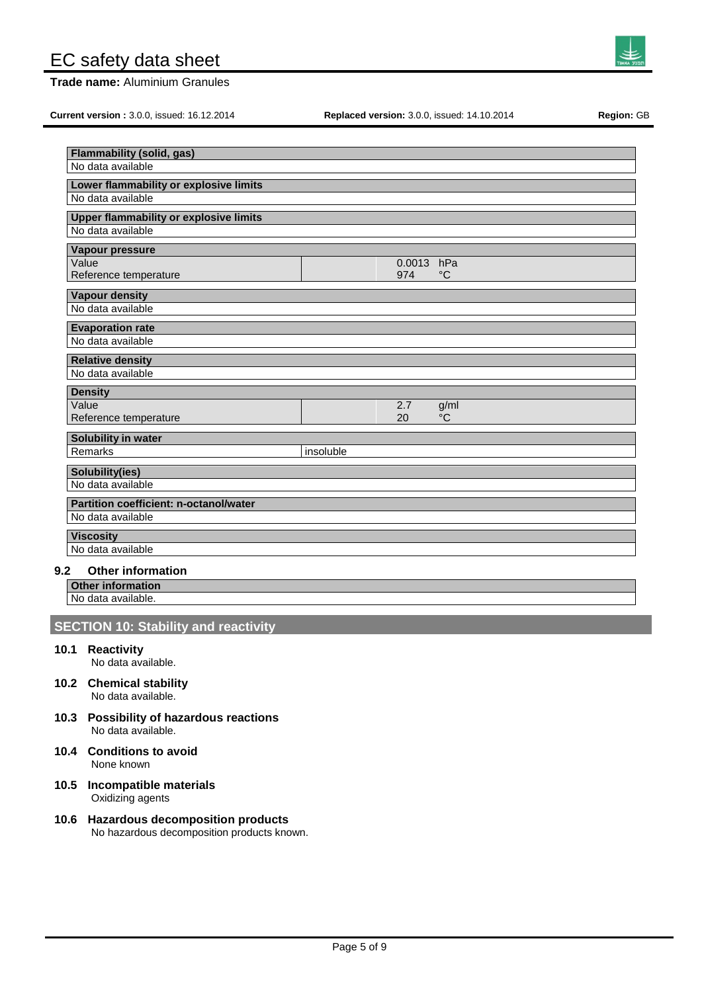**Trade name:** Aluminium Granules

**Current version :** 3.0.0, issued: 16.12.2014 **Replaced version:** 3.0.0, issued: 14.10.2014 **Region:** GB

| <b>Flammability (solid, gas)</b>              |           |        |             |
|-----------------------------------------------|-----------|--------|-------------|
| No data available                             |           |        |             |
| Lower flammability or explosive limits        |           |        |             |
| No data available                             |           |        |             |
| <b>Upper flammability or explosive limits</b> |           |        |             |
| No data available                             |           |        |             |
|                                               |           |        |             |
| Vapour pressure<br>Value                      |           | 0.0013 | hPa         |
| Reference temperature                         |           | 974    | $^{\circ}C$ |
|                                               |           |        |             |
| <b>Vapour density</b>                         |           |        |             |
| No data available                             |           |        |             |
| <b>Evaporation rate</b>                       |           |        |             |
| No data available                             |           |        |             |
| <b>Relative density</b>                       |           |        |             |
| No data available                             |           |        |             |
| <b>Density</b>                                |           |        |             |
| Value                                         |           | 2.7    | g/ml        |
| Reference temperature                         |           | 20     | °C          |
|                                               |           |        |             |
| <b>Solubility in water</b>                    |           |        |             |
| Remarks                                       | insoluble |        |             |
| Solubility(ies)                               |           |        |             |
| No data available                             |           |        |             |
| <b>Partition coefficient: n-octanol/water</b> |           |        |             |
| No data available                             |           |        |             |
|                                               |           |        |             |
| <b>Viscosity</b><br>No data available         |           |        |             |
|                                               |           |        |             |

# **9.2 Other information**

**Other information** No data available.

# **SECTION 10: Stability and reactivity**

# **10.1 Reactivity**

No data available.

- **10.2 Chemical stability** No data available.
- **10.3 Possibility of hazardous reactions** No data available.
- **10.4 Conditions to avoid** None known

# **10.5 Incompatible materials** Oxidizing agents

# **10.6 Hazardous decomposition products** No hazardous decomposition products known.

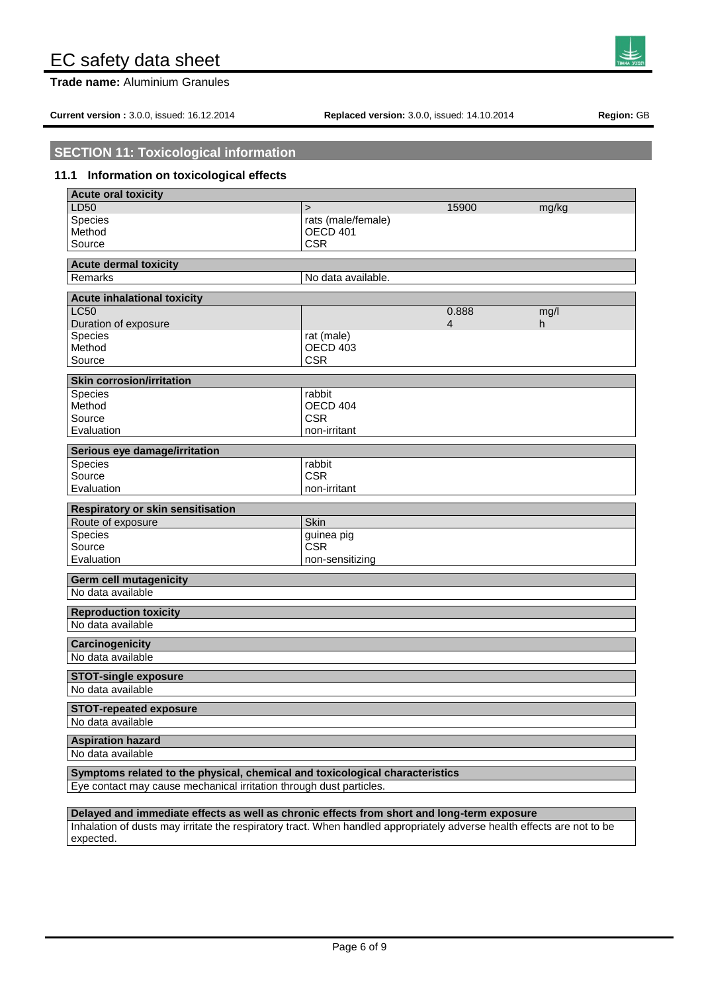**Trade name:** Aluminium Granules

**Current version :** 3.0.0, issued: 16.12.2014 **Replaced version:** 3.0.0, issued: 14.10.2014 **Region:** GB

# **SECTION 11: Toxicological information**

# **11.1 Information on toxicological effects**

| <b>Acute oral toxicity</b>                                                   |                               |                |       |  |  |
|------------------------------------------------------------------------------|-------------------------------|----------------|-------|--|--|
| LD50                                                                         | $\geq$                        | 15900          | mg/kg |  |  |
| <b>Species</b>                                                               | rats (male/female)            |                |       |  |  |
| Method                                                                       | <b>OECD 401</b>               |                |       |  |  |
| Source                                                                       | <b>CSR</b>                    |                |       |  |  |
| <b>Acute dermal toxicity</b>                                                 |                               |                |       |  |  |
| Remarks                                                                      | No data available.            |                |       |  |  |
|                                                                              |                               |                |       |  |  |
| <b>Acute inhalational toxicity</b>                                           |                               |                |       |  |  |
| <b>LC50</b>                                                                  |                               | 0.888          | mg/l  |  |  |
| Duration of exposure                                                         |                               | $\overline{4}$ | h     |  |  |
| Species<br>Method                                                            | rat (male)<br><b>OECD 403</b> |                |       |  |  |
| Source                                                                       | <b>CSR</b>                    |                |       |  |  |
|                                                                              |                               |                |       |  |  |
| <b>Skin corrosion/irritation</b>                                             |                               |                |       |  |  |
| <b>Species</b>                                                               | rabbit                        |                |       |  |  |
| Method                                                                       | OECD 404                      |                |       |  |  |
| Source                                                                       | <b>CSR</b>                    |                |       |  |  |
| Evaluation                                                                   | non-irritant                  |                |       |  |  |
| Serious eye damage/irritation                                                |                               |                |       |  |  |
| <b>Species</b>                                                               | rabbit                        |                |       |  |  |
| Source                                                                       | <b>CSR</b>                    |                |       |  |  |
| Evaluation                                                                   | non-irritant                  |                |       |  |  |
| <b>Respiratory or skin sensitisation</b>                                     |                               |                |       |  |  |
| Route of exposure                                                            | Skin                          |                |       |  |  |
| Species                                                                      | guinea pig                    |                |       |  |  |
| Source                                                                       | <b>CSR</b>                    |                |       |  |  |
| Evaluation                                                                   | non-sensitizing               |                |       |  |  |
|                                                                              |                               |                |       |  |  |
| <b>Germ cell mutagenicity</b><br>No data available                           |                               |                |       |  |  |
|                                                                              |                               |                |       |  |  |
| <b>Reproduction toxicity</b>                                                 |                               |                |       |  |  |
| No data available                                                            |                               |                |       |  |  |
| <b>Carcinogenicity</b>                                                       |                               |                |       |  |  |
| No data available                                                            |                               |                |       |  |  |
|                                                                              |                               |                |       |  |  |
| <b>STOT-single exposure</b>                                                  |                               |                |       |  |  |
| No data available                                                            |                               |                |       |  |  |
| <b>STOT-repeated exposure</b>                                                |                               |                |       |  |  |
| No data available                                                            |                               |                |       |  |  |
| <b>Aspiration hazard</b>                                                     |                               |                |       |  |  |
| No data available                                                            |                               |                |       |  |  |
| Symptoms related to the physical, chemical and toxicological characteristics |                               |                |       |  |  |
| Eye contact may cause mechanical irritation through dust particles.          |                               |                |       |  |  |
|                                                                              |                               |                |       |  |  |

**Delayed and immediate effects as well as chronic effects from short and long-term exposure** Inhalation of dusts may irritate the respiratory tract. When handled appropriately adverse health effects are not to be expected.

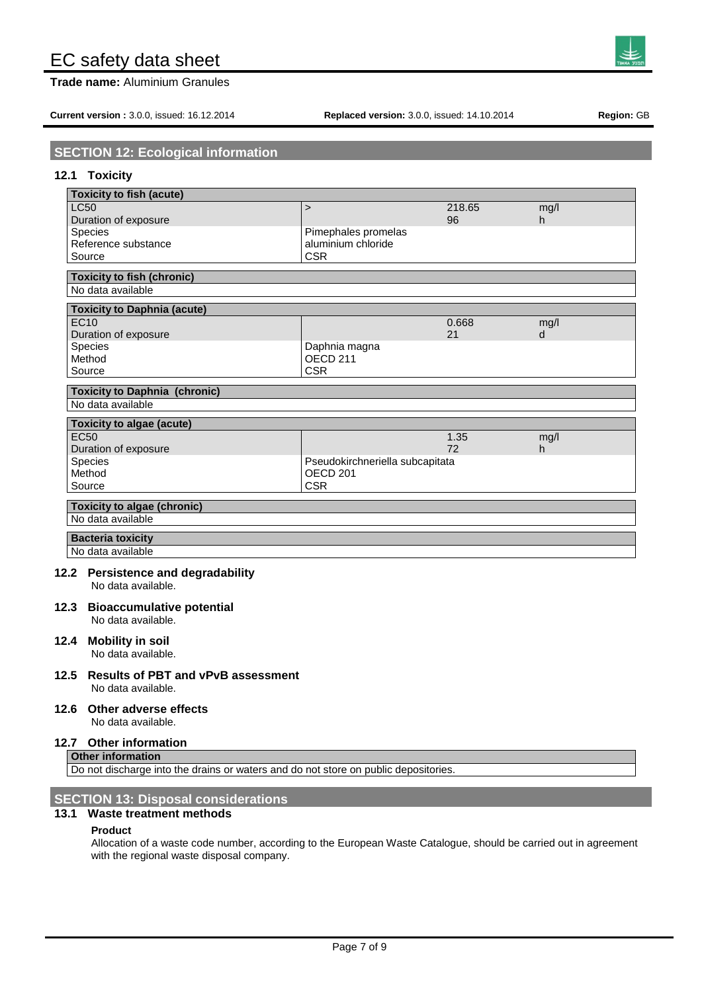**Trade name:** Aluminium Granules

**Current version :** 3.0.0, issued: 16.12.2014 **Replaced version:** 3.0.0, issued: 14.10.2014 **Region:** GB

# **SECTION 12: Ecological information**

# **12.1 Toxicity**

| <b>Toxicity to fish (acute)</b>      |                                 |        |      |  |
|--------------------------------------|---------------------------------|--------|------|--|
| <b>LC50</b>                          | $\geq$                          | 218.65 | mq/l |  |
| Duration of exposure                 |                                 | 96     | h    |  |
| <b>Species</b>                       | Pimephales promelas             |        |      |  |
| Reference substance                  | aluminium chloride              |        |      |  |
| Source                               | <b>CSR</b>                      |        |      |  |
| <b>Toxicity to fish (chronic)</b>    |                                 |        |      |  |
| No data available                    |                                 |        |      |  |
| <b>Toxicity to Daphnia (acute)</b>   |                                 |        |      |  |
| <b>EC10</b>                          |                                 | 0.668  | mg/l |  |
| Duration of exposure                 |                                 | 21     | d    |  |
| Species                              | Daphnia magna                   |        |      |  |
| Method                               | OECD <sub>211</sub>             |        |      |  |
| Source                               | <b>CSR</b>                      |        |      |  |
| <b>Toxicity to Daphnia (chronic)</b> |                                 |        |      |  |
| No data available                    |                                 |        |      |  |
| <b>Toxicity to algae (acute)</b>     |                                 |        |      |  |
| <b>EC50</b>                          |                                 | 1.35   | mg/l |  |
| Duration of exposure                 |                                 | 72     | h    |  |
| Species                              | Pseudokirchneriella subcapitata |        |      |  |
| Method                               | OECD <sub>201</sub>             |        |      |  |
| Source                               | <b>CSR</b>                      |        |      |  |
| <b>Toxicity to algae (chronic)</b>   |                                 |        |      |  |
| No data available                    |                                 |        |      |  |
| <b>Bacteria toxicity</b>             |                                 |        |      |  |
| No data available                    |                                 |        |      |  |
| 0.0 Develotence and decreadebility   |                                 |        |      |  |

**12.2 Persistence and degradability**

No data available.

**12.3 Bioaccumulative potential** No data available.

# **12.4 Mobility in soil**

No data available.

**12.5 Results of PBT and vPvB assessment** No data available.

# **12.6 Other adverse effects**

No data available.

#### **12.7 Other information Other information**

Do not discharge into the drains or waters and do not store on public depositories.

# **SECTION 13: Disposal considerations**

# **13.1 Waste treatment methods**

### **Product**

Allocation of a waste code number, according to the European Waste Catalogue, should be carried out in agreement with the regional waste disposal company.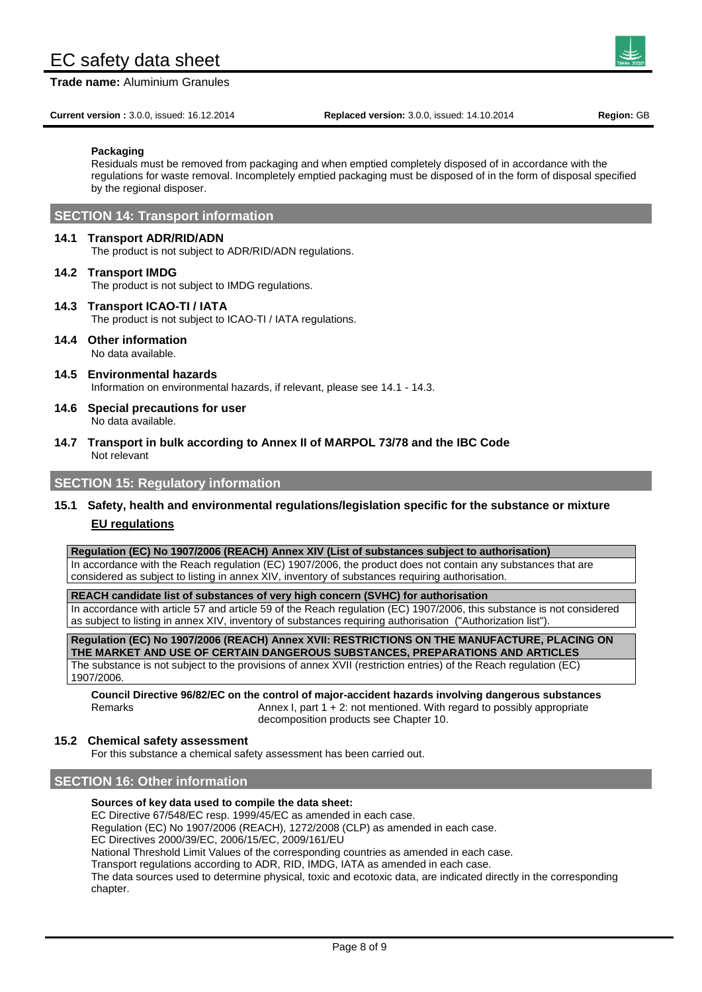**Trade name:** Aluminium Granules

**Current version :** 3.0.0, issued: 16.12.2014 **Replaced version:** 3.0.0, issued: 14.10.2014 **Region:** GB

**Packaging**

Residuals must be removed from packaging and when emptied completely disposed of in accordance with the regulations for waste removal. Incompletely emptied packaging must be disposed of in the form of disposal specified by the regional disposer.

# **SECTION 14: Transport information**

### **14.1 Transport ADR/RID/ADN**

The product is not subject to ADR/RID/ADN regulations.

#### **14.2 Transport IMDG**

The product is not subject to IMDG regulations.

- **14.3 Transport ICAO-TI / IATA** The product is not subject to ICAO-TI / IATA regulations.
- **14.4 Other information** No data available.
- **14.5 Environmental hazards** Information on environmental hazards, if relevant, please see 14.1 - 14.3.
- **14.6 Special precautions for user** No data available.
- **14.7 Transport in bulk according to Annex II of MARPOL 73/78 and the IBC Code** Not relevant

# **SECTION 15: Regulatory information**

# **15.1 Safety, health and environmental regulations/legislation specific for the substance or mixture EU regulations**

#### **Regulation (EC) No 1907/2006 (REACH) Annex XIV (List of substances subject to authorisation)**

In accordance with the Reach regulation (EC) 1907/2006, the product does not contain any substances that are considered as subject to listing in annex XIV, inventory of substances requiring authorisation.

**REACH candidate list of substances of very high concern (SVHC) for authorisation**

In accordance with article 57 and article 59 of the Reach regulation (EC) 1907/2006, this substance is not considered as subject to listing in annex XIV, inventory of substances requiring authorisation ("Authorization list").

**Regulation (EC) No 1907/2006 (REACH) Annex XVII: RESTRICTIONS ON THE MANUFACTURE, PLACING ON THE MARKET AND USE OF CERTAIN DANGEROUS SUBSTANCES, PREPARATIONS AND ARTICLES** The substance is not subject to the provisions of annex XVII (restriction entries) of the Reach regulation (EC) 1907/2006.

**Council Directive 96/82/EC on the control of major-accident hazards involving dangerous substances** Remarks **Annex I, part 1 + 2: not mentioned.** With regard to possibly appropriate decomposition products see Chapter 10.

### **15.2 Chemical safety assessment**

For this substance a chemical safety assessment has been carried out.

# **SECTION 16: Other information**

#### **Sources of key data used to compile the data sheet:**

EC Directive 67/548/EC resp. 1999/45/EC as amended in each case.

Regulation (EC) No 1907/2006 (REACH), 1272/2008 (CLP) as amended in each case.

EC Directives 2000/39/EC, 2006/15/EC, 2009/161/EU

National Threshold Limit Values of the corresponding countries as amended in each case.

Transport regulations according to ADR, RID, IMDG, IATA as amended in each case.

The data sources used to determine physical, toxic and ecotoxic data, are indicated directly in the corresponding chapter.